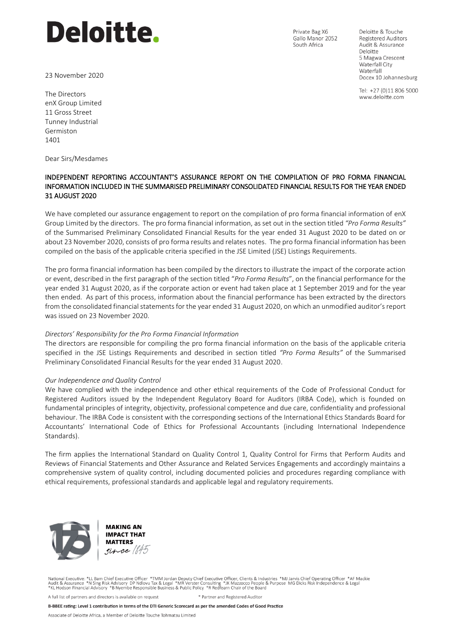# **Deloitte.**

23 November 2020

Private Bag X6 Gallo Manor 2052 South Africa

Deloitte & Touche **Registered Auditors** Audit & Assurance Deloitte 5 Magwa Crescent Waterfall City Waterfall Docex 10 Johannesburg

Tel: +27 (0)11 806 5000 www.deloitte.com

The Directors enX Group Limited 11 Gross Street Tunney Industrial Germiston 1401

Dear Sirs/Mesdames

# INDEPENDENT REPORTING ACCOUNTANT'S ASSURANCE REPORT ON THE COMPILATION OF PRO FORMA FINANCIAL INFORMATION INCLUDED IN THE SUMMARISED PRELIMINARY CONSOLIDATED FINANCIAL RESULTS FOR THE YEAR ENDED 31 AUGUST 2020

We have completed our assurance engagement to report on the compilation of pro forma financial information of enX Group Limited by the directors. The pro forma financial information, as set out in the section titled *"Pro Forma Results"*  of the Summarised Preliminary Consolidated Financial Results for the year ended 31 August 2020 to be dated on or about 23 November 2020, consists of pro forma results and relates notes. The pro forma financial information has been compiled on the basis of the applicable criteria specified in the JSE Limited (JSE) Listings Requirements.

The pro forma financial information has been compiled by the directors to illustrate the impact of the corporate action or event, described in the first paragraph of the section titled "*Pro Forma Results*", on the financial performance for the year ended 31 August 2020, as if the corporate action or event had taken place at 1 September 2019 and for the year then ended. As part of this process, information about the financial performance has been extracted by the directors from the consolidated financial statements for the year ended 31 August 2020, on which an unmodified auditor's report was issued on 23 November 2020.

#### *Directors' Responsibility for the Pro Forma Financial Information*

The directors are responsible for compiling the pro forma financial information on the basis of the applicable criteria specified in the JSE Listings Requirements and described in section titled *"Pro Forma Results"* of the Summarised Preliminary Consolidated Financial Results for the year ended 31 August 2020.

#### *Our Independence and Quality Control*

We have complied with the independence and other ethical requirements of the Code of Professional Conduct for Registered Auditors issued by the Independent Regulatory Board for Auditors (IRBA Code), which is founded on fundamental principles of integrity, objectivity, professional competence and due care, confidentiality and professional behaviour. The IRBA Code is consistent with the corresponding sections of the International Ethics Standards Board for Accountants' International Code of Ethics for Professional Accountants (including International Independence Standards).

The firm applies the International Standard on Quality Control 1, Quality Control for Firms that Perform Audits and Reviews of Financial Statements and Other Assurance and Related Services Engagements and accordingly maintains a comprehensive system of quality control, including documented policies and procedures regarding compliance with ethical requirements, professional standards and applicable legal and regulatory requirements.





National Executive: \*LL Bam Chief Executive Officer \*TMM Jordan Deputy Chief Executive Officer; Clients & Industries \*MJ Jarvis Chief Operating Officer \*AF Mackie<br>Audit & Assurance \*N Sing Risk Advisory DP Ndlovu Tax

\* Partner and Registered Auditor A full list of partners and directors is available on request

B-BBEE rating: Level 1 contribution in terms of the DTI Generic Scorecard as per the amended Codes of Good Practice

Associate of Deloitte Africa, a Member of Deloitte Touche Tohmatsu Limited